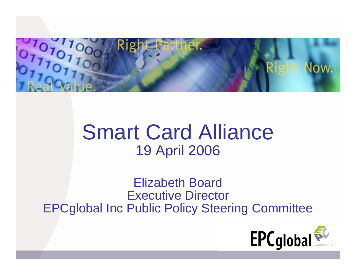

# Smart Card Alliance 19 April 2006

Elizabeth Board Executive Director EPCglobal Inc Public Policy Steering Committee

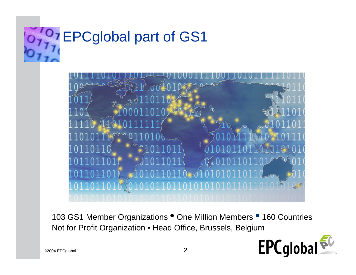#### Inst. O  $\mathbf{Q}$   $\mathbf{Y}$  and  $\mathbf{G}$  $\sim$   $\sqrt{ }$  $H -$ EPCglobal part of GS1



103 GS1 Member Organizations <sup>•</sup> One Million Members <sup>•</sup> 160 Countries Not for Profit Organization • Head Office, Brussels, Belgium

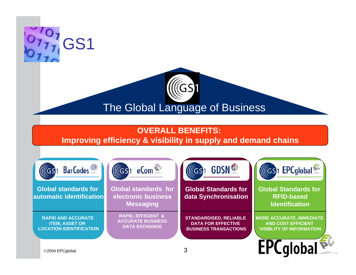

## The Global Language of Business

 $\sqrt[\infty]{G}$ 

### **OVERALL BENEFITS:**

### **Improving efficiency & visibility in supply and demand chains**

| <b>BarCodes</b><br>(GS)                                                              | $MGS1$ eCom <sup><math>3\%</math></sup>                                           | <b>GDSN</b> <sup>S</sup><br><b>ICGS1</b>                                                   | ((GS)1 EPCglobal <sup>50</sup>                                                                  |
|--------------------------------------------------------------------------------------|-----------------------------------------------------------------------------------|--------------------------------------------------------------------------------------------|-------------------------------------------------------------------------------------------------|
| <b>Global standards for</b><br>automatic identification                              | <b>Global standards for</b><br>electronic business<br><b>Messaging</b>            | <b>Global Standards for</b><br>data Synchronisation                                        | <b>Global Standards for</b><br><b>RFID-based</b><br><b>Identification</b>                       |
| <b>RAPID AND ACCURATE</b><br><b>ITEM, ASSET OR</b><br><b>LOCATION IDENTIFICATION</b> | <b>RAPID, EFFICIENT &amp;</b><br><b>ACCURATE BUSINESS</b><br><b>DATA EXCHANGE</b> | <b>STANDARDISED, RELIABLE</b><br><b>DATA FOR EFFECTIVE</b><br><b>BUSINESS TRANSACTIONS</b> | <b>MORE ACCURATE, IMMEDIATE</b><br><b>AND COST EFFICIENT</b><br><b>VISIBLITY OF INFORMATION</b> |
| ©2004 EPCglobal                                                                      |                                                                                   | 3                                                                                          | <b>EPC</b> qlobal <sup>P</sup>                                                                  |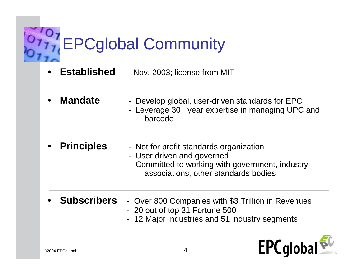

- • **Established**- Nov. 2003; license from MIT
- • **Mandate** - Develop global, user-driven standards for EPC - Leverage 30+ year expertise in managing UPC and

barcode

- •
	- **Principles** Not for profit standards organization
		- User driven and governed
		- Committed to working with government, industry associations, other standards bodies
- • **Subscribers** - Over 800 Companies with \$3 Trillion in Revenues
	- 20 out of top 31 Fortune 500
	- 12 Major Industries and 51 industry segments

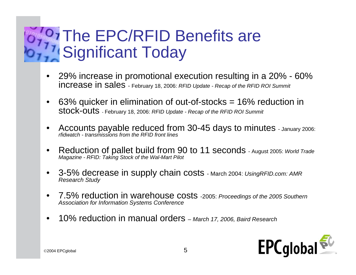#### $O_{77}$  $T -$ The EPC/RFID Benefits are Significant Today

- • 29% increase in promotional execution resulting in a 20% - 60% increase in sales - February 18, 2006: *RFID Update - Recap of the RFID ROI Summit*
- • 63% quicker in elimination of out-of-stocks = 16% reduction in stock-outs - February 18, 2006: *RFID Update - Recap of the RFID ROI Summit*
- •Accounts payable reduced from 30-45 days to minutes - January 2006: *rfidwatch - transmissions from the RFID front lines*
- • Reduction of pallet build from 90 to 11 seconds - August 2005: *World Trade Magazine - RFID: Taking Stock of the Wal-Mart Pilot*
- •3-5% decrease in supply chain costs - March 2004: *UsingRFID.com: AMR Research Study*
- • 7.5% reduction in warehouse costs -2005: *Proceedings of the 2005 Southern Association for Information Systems Conference*
- •10% reduction in manual orders *– March 17, 2006, Baird Research*

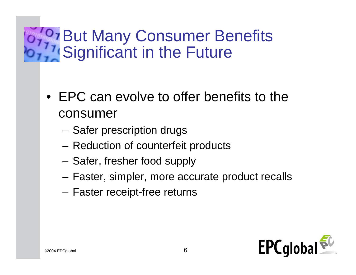#### $O_{77}$  $T -$ But Many Consumer Benefits Significant in the Future

- EPC can evolve to offer benefits to the consumer
	- –– Safer prescription drugs
	- –– Reduction of counterfeit products
	- –– Safer, fresher food supply
	- –Faster, simpler, more accurate product recalls
	- –– Faster receipt-free returns

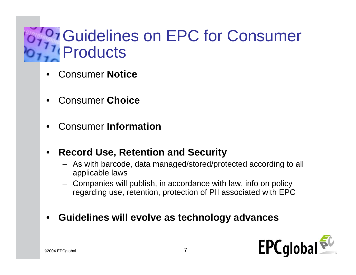#### **OF CUIDELING ON EPC for Consumer**  $\sim$   $\sqrt{ }$  $H -$ **Products**

- •Consumer **Notice**
- •Consumer **Choice**
- •Consumer **Information**
- • **Record Use, Retention and Security**
	- As with barcode, data managed/stored/protected according to all applicable laws
	- Companies will publish, in accordance with law, info on policy regarding use, retention, protection of PII associated with EPC
- •**Guidelines will evolve as technology advances**

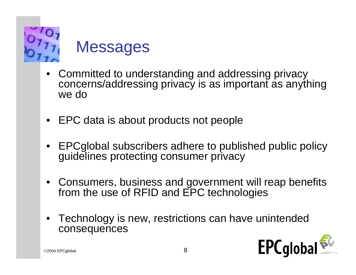

## **Messages**

- Committed to understanding and addressing privacy concerns/addressing privacy is as important as anything we do
- EPC data is about products not people
- • EPCglobal subscribers adhere to published public policy guidelines protecting consumer privacy
- Consumers, business and government will reap benefits from the use of RFID and EPC technologies
- • Technology is new, restrictions can have unintended consequences

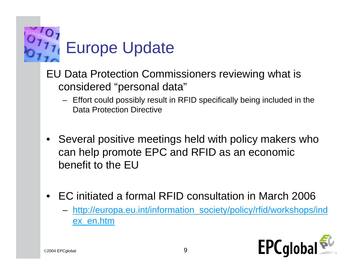

### EU Data Protection Commissioners reviewing what is considered "personal data"

- Effort could possibly result in RFID specifically being included in the Data Protection Directive
- • Several positive meetings held with policy makers who can help promote EPC and RFID as an economic benefit to the EU
- • EC initiated a formal RFID consultation in March 2006
	- – http://europa.eu.int/information\_society/policy/rfid/workshops/ind ex\_en.htm

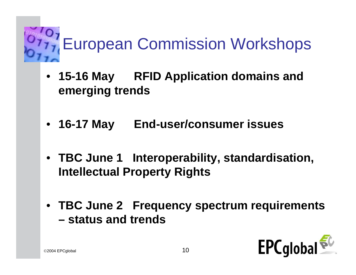

- 15-16 May **RFID Application domains and emerging trends**
- 16-17 May **End-user/consumer issues**
- **TBC June 1 Interoperability, standardisation, Intellectual Property Rights**
- **TBC June 2 Frequency spectrum requirements – status and trends**

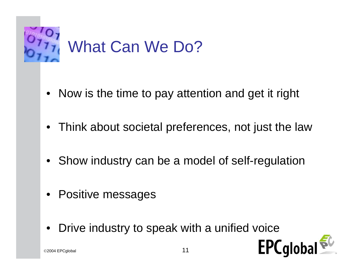

- $\bullet$ Now is the time to pay attention and get it right
- •Think about societal preferences, not just the law
- •Show industry can be a model of self-regulation
- •Positive messages
- •Drive industry to speak with a unified voice

 $\circ$ 2004 EPCglobal 11

**EPC**globa